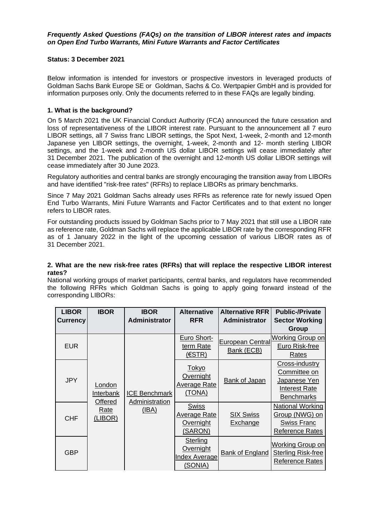#### *Frequently Asked Questions (FAQs) on the transition of LIBOR interest rates and impacts on Open End Turbo Warrants, Mini Future Warrants and Factor Certificates*

## **Status: 3 December 2021**

Below information is intended for investors or prospective investors in leveraged products of Goldman Sachs Bank Europe SE or Goldman, Sachs & Co. Wertpapier GmbH and is provided for information purposes only. Only the documents referred to in these FAQs are legally binding.

# **1. What is the background?**

On 5 March 2021 the UK Financial Conduct Authority (FCA) announced the future cessation and loss of representativeness of the LIBOR interest rate. Pursuant to the announcement all 7 euro LIBOR settings, all 7 Swiss franc LIBOR settings, the Spot Next, 1-week, 2-month and 12-month Japanese yen LIBOR settings, the overnight, 1-week, 2-month and 12- month sterling LIBOR settings, and the 1-week and 2-month US dollar LIBOR settings will cease immediately after 31 December 2021. The publication of the overnight and 12-month US dollar LIBOR settings will cease immediately after 30 June 2023.

Regulatory authorities and central banks are strongly encouraging the transition away from LIBORs and have identified "risk-free rates" (RFRs) to replace LIBORs as primary benchmarks.

Since 7 May 2021 Goldman Sachs already uses RFRs as reference rate for newly issued Open End Turbo Warrants, Mini Future Warrants and Factor Certificates and to that extent no longer refers to LIBOR rates.

For outstanding products issued by Goldman Sachs prior to 7 May 2021 that still use a LIBOR rate as reference rate, Goldman Sachs will replace the applicable LIBOR rate by the corresponding RFR as of 1 January 2022 in the light of the upcoming cessation of various LIBOR rates as of 31 December 2021.

## **2. What are the new risk-free rates (RFRs) that will replace the respective LIBOR interest rates?**

National working groups of market participants, central banks, and regulators have recommended the following RFRs which Goldman Sachs is going to apply going forward instead of the corresponding LIBORs:

| <b>LIBOR</b><br><b>Currency</b> | <b>IBOR</b>                                       | <b>IBOR</b><br><b>Administrator</b>             | <b>Alternative</b><br><b>RFR</b>                            | <b>Alternative RFRI</b><br><b>Administrator</b> | <b>Public-/Private</b><br><b>Sector Working</b><br>Group                                    |
|---------------------------------|---------------------------------------------------|-------------------------------------------------|-------------------------------------------------------------|-------------------------------------------------|---------------------------------------------------------------------------------------------|
| <b>EUR</b>                      | London<br>Interbank<br>Offered<br>Rate<br>(LIBOR) | <b>ICE Benchmark</b><br>Administration<br>(IBA) | Euro Short-<br>term Rate<br>(ESTR)                          | European Central<br>Bank (ECB)                  | Working Group on<br>Euro Risk-free<br>Rates                                                 |
| <b>JPY</b>                      |                                                   |                                                 | <b>Tokyo</b><br>Overnight<br><b>Average Rate</b><br>(TONA)  | <b>Bank of Japan</b>                            | Cross-industry<br>Committee on<br>Japanese Yen<br><b>Interest Rate</b><br><b>Benchmarks</b> |
| <b>CHF</b>                      |                                                   |                                                 | <b>Swiss</b><br><b>Average Rate</b><br>Overnight<br>(SARON) | <b>SIX Swiss</b><br>Exchange                    | <b>National Working</b><br>Group (NWG) on<br><b>Swiss Franc</b><br><b>Reference Rates</b>   |
| <b>GBP</b>                      |                                                   |                                                 | <b>Sterling</b><br>Overnight<br>Index Average<br>(SONIA)    | <b>Bank of England</b>                          | <b>Working Group on</b><br><b>Sterling Risk-free</b><br><b>Reference Rates</b>              |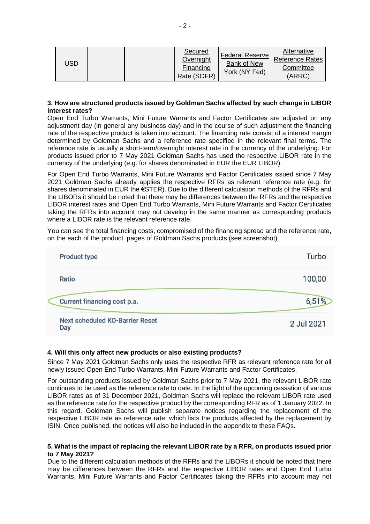| USD | Secured<br>Overnight<br>Financing<br>Rate (SOFR) | <b>Federal Reserve</b><br>Bank of New<br>York (NY Fed) | Alternative<br><b>Reference Rates</b><br>Committee<br>(ARRC) |
|-----|--------------------------------------------------|--------------------------------------------------------|--------------------------------------------------------------|
|-----|--------------------------------------------------|--------------------------------------------------------|--------------------------------------------------------------|

#### **3. How are structured products issued by Goldman Sachs affected by such change in LIBOR interest rates?**

Open End Turbo Warrants, Mini Future Warrants and Factor Certificates are adjusted on any adjustment day (in general any business day) and in the course of such adjustment the financing rate of the respective product is taken into account. The financing rate consist of a interest margin determined by Goldman Sachs and a reference rate specified in the relevant final terms. The reference rate is usually a short-term/overnight interest rate in the currency of the underlying. For products issued prior to 7 May 2021 Goldman Sachs has used the respective LIBOR rate in the currency of the underlying (e.g. for shares denominated in EUR the EUR LIBOR).

For Open End Turbo Warrants, Mini Future Warrants and Factor Certificates issued since 7 May 2021 Goldman Sachs already applies the respective RFRs as relevant reference rate (e.g. for shares denominated in EUR the €STER). Due to the different calculation methods of the RFRs and the LIBORs it should be noted that there may be differences between the RFRs and the respective LIBOR interest rates and Open End Turbo Warrants, Mini Future Warrants and Factor Certificates taking the RFRs into account may not develop in the same manner as corresponding products where a LIBOR rate is the relevant reference rate.

You can see the total financing costs, compromised of the financing spread and the reference rate, on the each of the product pages of Goldman Sachs products (see screenshot).

| <b>Product type</b>                           | Turbo      |
|-----------------------------------------------|------------|
| Ratio                                         | 100,00     |
| Current financing cost p.a.                   | 6,51%      |
| <b>Next scheduled KO-Barrier Reset</b><br>Day | 2 Jul 2021 |

## **4. Will this only affect new products or also existing products?**

Since 7 May 2021 Goldman Sachs only uses the respective RFR as relevant reference rate for all newly issued Open End Turbo Warrants, Mini Future Warrants and Factor Certificates.

For outstanding products issued by Goldman Sachs prior to 7 May 2021, the relevant LIBOR rate continues to be used as the reference rate to date. In the light of the upcoming cessation of various LIBOR rates as of 31 December 2021, Goldman Sachs will replace the relevant LIBOR rate used as the reference rate for the respective product by the corresponding RFR as of 1 January 2022. In this regard, Goldman Sachs will publish separate notices regarding the replacement of the respective LIBOR rate as reference rate, which lists the products affected by the replacement by ISIN. Once published, the notices will also be included in the appendix to these FAQs.

#### **5. What is the impact of replacing the relevant LIBOR rate by a RFR, on products issued prior to 7 May 2021?**

Due to the different calculation methods of the RFRs and the LIBORs it should be noted that there may be differences between the RFRs and the respective LIBOR rates and Open End Turbo Warrants, Mini Future Warrants and Factor Certificates taking the RFRs into account may not